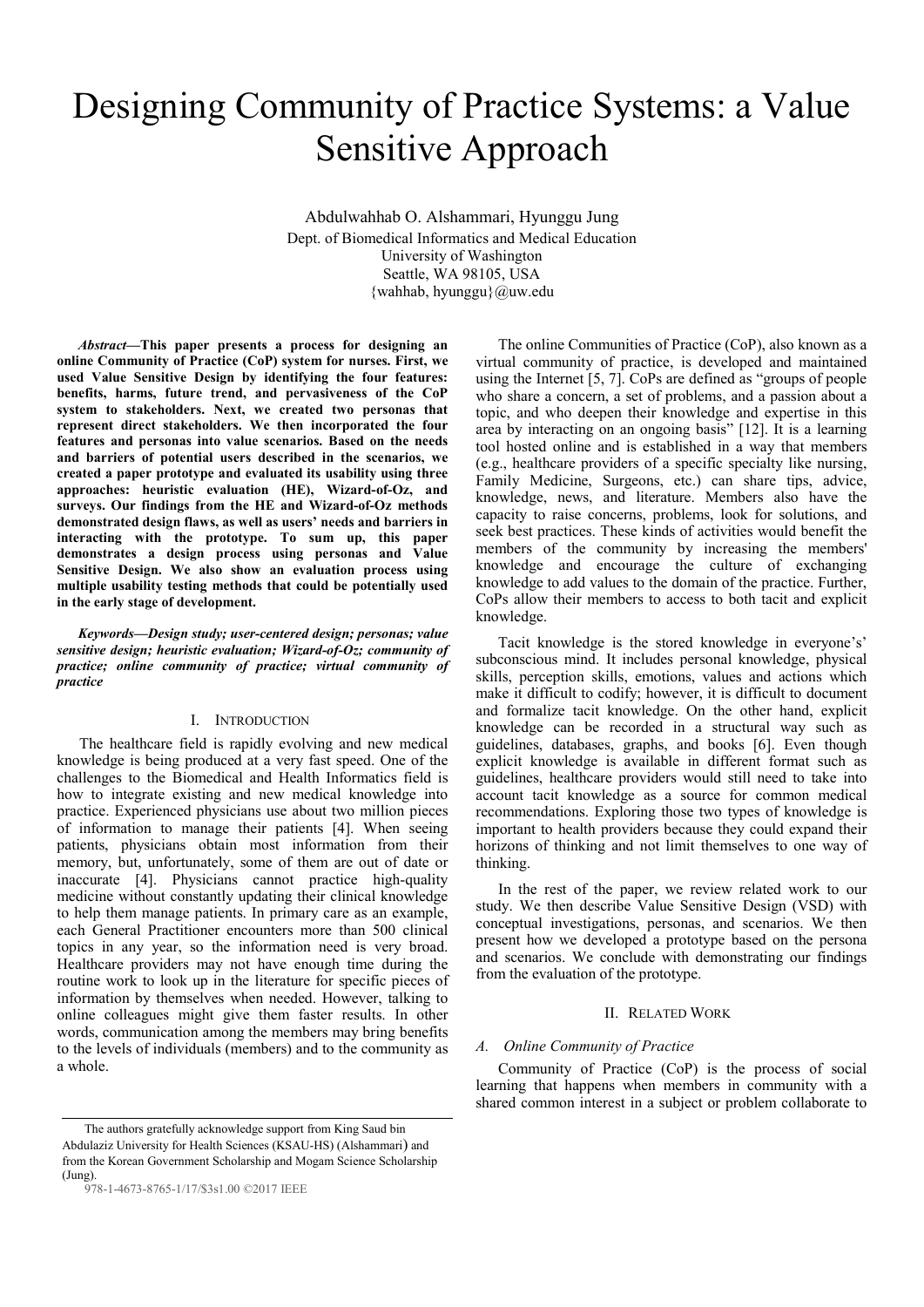# Designing Community of Practice Systems: a Value Sensitive Approach

Abdulwahhab O. Alshammari, Hyunggu Jung Dept. of Biomedical Informatics and Medical Education University of Washington Seattle, WA 98105, USA {wahhab, hyunggu}@uw.edu

*Abstract***—This paper presents a process for designing an online Community of Practice (CoP) system for nurses. First, we used Value Sensitive Design by identifying the four features: benefits, harms, future trend, and pervasiveness of the CoP system to stakeholders. Next, we created two personas that represent direct stakeholders. We then incorporated the four features and personas into value scenarios. Based on the needs and barriers of potential users described in the scenarios, we created a paper prototype and evaluated its usability using three approaches: heuristic evaluation (HE), Wizard-of-Oz, and surveys. Our findings from the HE and Wizard-of-Oz methods demonstrated design flaws, as well as users' needs and barriers in interacting with the prototype. To sum up, this paper demonstrates a design process using personas and Value Sensitive Design. We also show an evaluation process using multiple usability testing methods that could be potentially used in the early stage of development.** 

*Keywords—Design study; user-centered design; personas; value sensitive design; heuristic evaluation; Wizard-of-Oz; community of practice; online community of practice; virtual community of practice* 

# I. INTRODUCTION

The healthcare field is rapidly evolving and new medical knowledge is being produced at a very fast speed. One of the challenges to the Biomedical and Health Informatics field is how to integrate existing and new medical knowledge into practice. Experienced physicians use about two million pieces of information to manage their patients [4]. When seeing patients, physicians obtain most information from their memory, but, unfortunately, some of them are out of date or inaccurate [4]. Physicians cannot practice high-quality medicine without constantly updating their clinical knowledge to help them manage patients. In primary care as an example, each General Practitioner encounters more than 500 clinical topics in any year, so the information need is very broad. Healthcare providers may not have enough time during the routine work to look up in the literature for specific pieces of information by themselves when needed. However, talking to online colleagues might give them faster results. In other words, communication among the members may bring benefits to the levels of individuals (members) and to the community as a whole.

The authors gratefully acknowledge support from King Saud bin Abdulaziz University for Health Sciences (KSAU-HS) (Alshammari) and from the Korean Government Scholarship and Mogam Science Scholarship (Jung).

978-1-4673-8765-1/17/\$3s1.00 ©2017 IEEE

The online Communities of Practice (CoP), also known as a virtual community of practice, is developed and maintained using the Internet [5, 7]. CoPs are defined as "groups of people who share a concern, a set of problems, and a passion about a topic, and who deepen their knowledge and expertise in this area by interacting on an ongoing basis" [12]. It is a learning tool hosted online and is established in a way that members (e.g., healthcare providers of a specific specialty like nursing, Family Medicine, Surgeons, etc.) can share tips, advice, knowledge, news, and literature. Members also have the capacity to raise concerns, problems, look for solutions, and seek best practices. These kinds of activities would benefit the members of the community by increasing the members' knowledge and encourage the culture of exchanging knowledge to add values to the domain of the practice. Further, CoPs allow their members to access to both tacit and explicit knowledge.

Tacit knowledge is the stored knowledge in everyone's' subconscious mind. It includes personal knowledge, physical skills, perception skills, emotions, values and actions which make it difficult to codify; however, it is difficult to document and formalize tacit knowledge. On the other hand, explicit knowledge can be recorded in a structural way such as guidelines, databases, graphs, and books [6]. Even though explicit knowledge is available in different format such as guidelines, healthcare providers would still need to take into account tacit knowledge as a source for common medical recommendations. Exploring those two types of knowledge is important to health providers because they could expand their horizons of thinking and not limit themselves to one way of thinking.

In the rest of the paper, we review related work to our study. We then describe Value Sensitive Design (VSD) with conceptual investigations, personas, and scenarios. We then present how we developed a prototype based on the persona and scenarios. We conclude with demonstrating our findings from the evaluation of the prototype.

#### II. RELATED WORK

#### *A. Online Community of Practice*

Community of Practice (CoP) is the process of social learning that happens when members in community with a shared common interest in a subject or problem collaborate to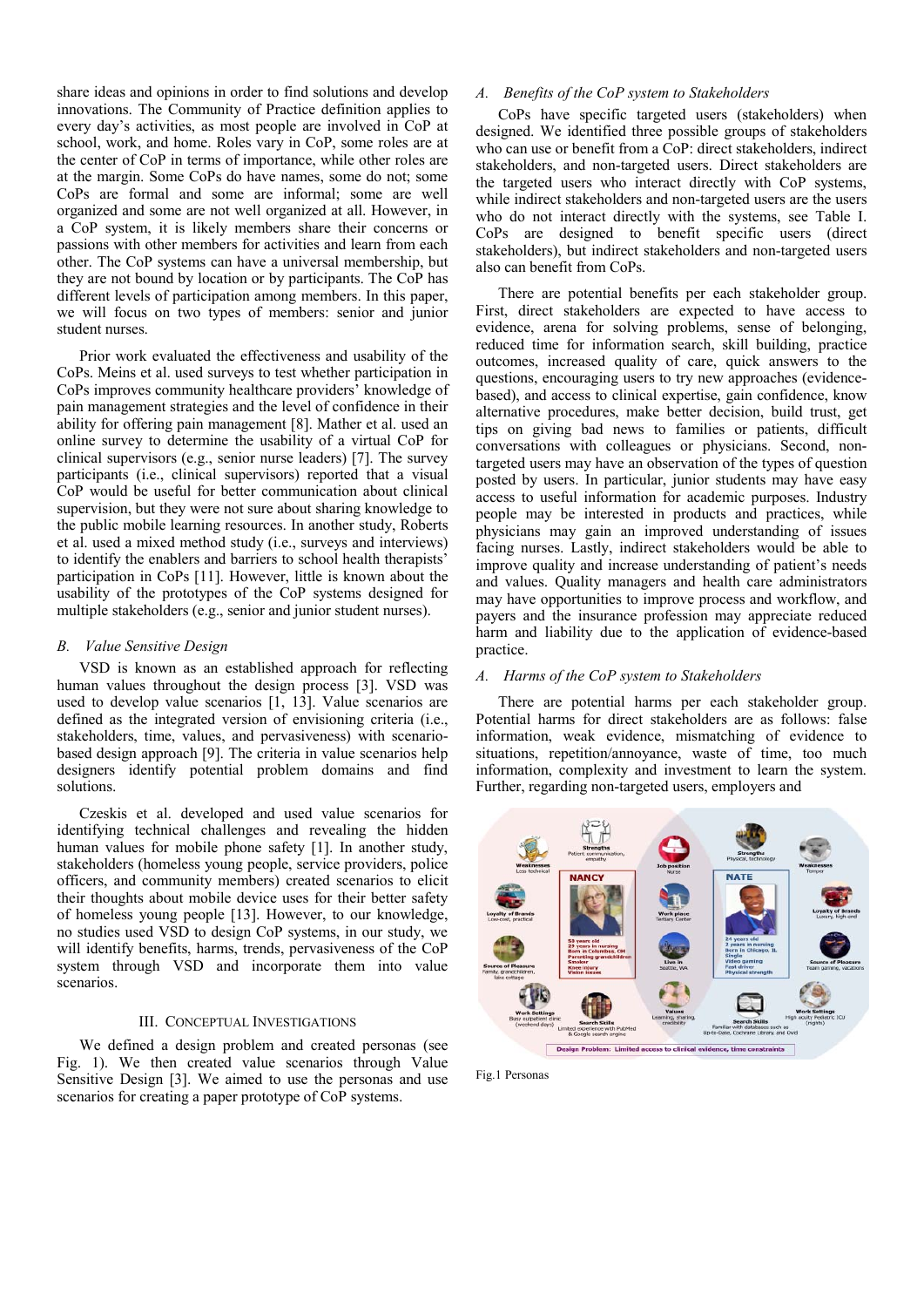share ideas and opinions in order to find solutions and develop innovations. The Community of Practice definition applies to every day's activities, as most people are involved in CoP at school, work, and home. Roles vary in CoP, some roles are at the center of CoP in terms of importance, while other roles are at the margin. Some CoPs do have names, some do not; some CoPs are formal and some are informal; some are well organized and some are not well organized at all. However, in a CoP system, it is likely members share their concerns or passions with other members for activities and learn from each other. The CoP systems can have a universal membership, but they are not bound by location or by participants. The CoP has different levels of participation among members. In this paper, we will focus on two types of members: senior and junior student nurses.

Prior work evaluated the effectiveness and usability of the CoPs. Meins et al. used surveys to test whether participation in CoPs improves community healthcare providers' knowledge of pain management strategies and the level of confidence in their ability for offering pain management [8]. Mather et al. used an online survey to determine the usability of a virtual CoP for clinical supervisors (e.g., senior nurse leaders) [7]. The survey participants (i.e., clinical supervisors) reported that a visual CoP would be useful for better communication about clinical supervision, but they were not sure about sharing knowledge to the public mobile learning resources. In another study, Roberts et al. used a mixed method study (i.e., surveys and interviews) to identify the enablers and barriers to school health therapists' participation in CoPs [11]. However, little is known about the usability of the prototypes of the CoP systems designed for multiple stakeholders (e.g., senior and junior student nurses).

## *B. Value Sensitive Design*

VSD is known as an established approach for reflecting human values throughout the design process [3]. VSD was used to develop value scenarios [1, 13]. Value scenarios are defined as the integrated version of envisioning criteria (i.e., stakeholders, time, values, and pervasiveness) with scenariobased design approach [9]. The criteria in value scenarios help designers identify potential problem domains and find solutions.

Czeskis et al. developed and used value scenarios for identifying technical challenges and revealing the hidden human values for mobile phone safety [1]. In another study, stakeholders (homeless young people, service providers, police officers, and community members) created scenarios to elicit their thoughts about mobile device uses for their better safety of homeless young people [13]. However, to our knowledge, no studies used VSD to design CoP systems, in our study, we will identify benefits, harms, trends, pervasiveness of the CoP system through VSD and incorporate them into value scenarios.

#### III. CONCEPTUAL INVESTIGATIONS

We defined a design problem and created personas (see Fig. 1). We then created value scenarios through Value Sensitive Design [3]. We aimed to use the personas and use scenarios for creating a paper prototype of CoP systems.

# *A. Benefits of the CoP system to Stakeholders*

 CoPs have specific targeted users (stakeholders) when designed. We identified three possible groups of stakeholders who can use or benefit from a CoP: direct stakeholders, indirect stakeholders, and non-targeted users. Direct stakeholders are the targeted users who interact directly with CoP systems, while indirect stakeholders and non-targeted users are the users who do not interact directly with the systems, see Table I. CoPs are designed to benefit specific users (direct stakeholders), but indirect stakeholders and non-targeted users also can benefit from CoPs.

 There are potential benefits per each stakeholder group. First, direct stakeholders are expected to have access to evidence, arena for solving problems, sense of belonging, reduced time for information search, skill building, practice outcomes, increased quality of care, quick answers to the questions, encouraging users to try new approaches (evidencebased), and access to clinical expertise, gain confidence, know alternative procedures, make better decision, build trust, get tips on giving bad news to families or patients, difficult conversations with colleagues or physicians. Second, nontargeted users may have an observation of the types of question posted by users. In particular, junior students may have easy access to useful information for academic purposes. Industry people may be interested in products and practices, while physicians may gain an improved understanding of issues facing nurses. Lastly, indirect stakeholders would be able to improve quality and increase understanding of patient's needs and values. Quality managers and health care administrators may have opportunities to improve process and workflow, and payers and the insurance profession may appreciate reduced harm and liability due to the application of evidence-based practice.

# *A. Harms of the CoP system to Stakeholders*

There are potential harms per each stakeholder group. Potential harms for direct stakeholders are as follows: false information, weak evidence, mismatching of evidence to situations, repetition/annoyance, waste of time, too much information, complexity and investment to learn the system. Further, regarding non-targeted users, employers and



Fig.1 Personas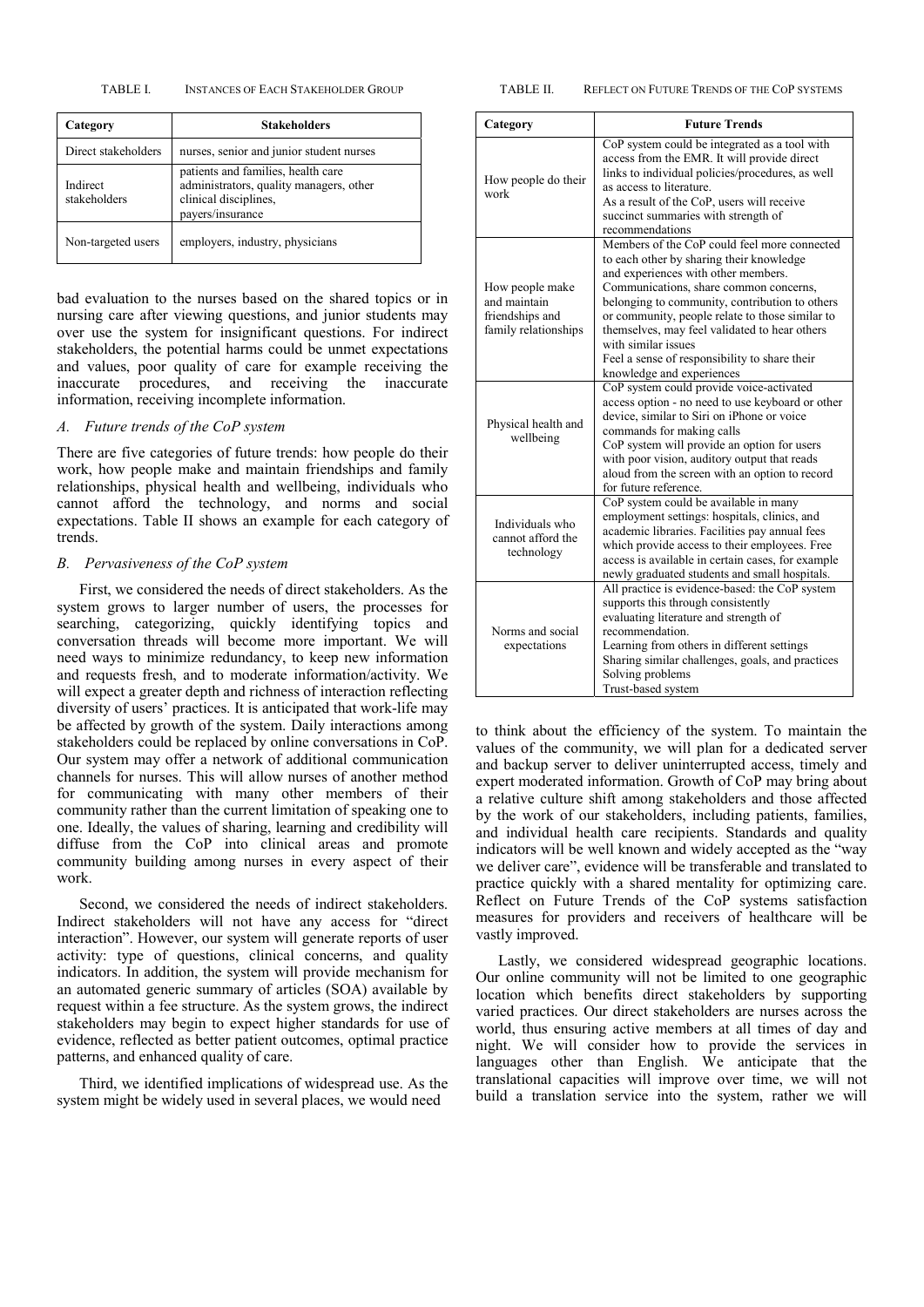TABLE I. INSTANCES OF EACH STAKEHOLDER GROUP

| Category                 | <b>Stakeholders</b>                                                                                                        |
|--------------------------|----------------------------------------------------------------------------------------------------------------------------|
| Direct stakeholders      | nurses, senior and junior student nurses                                                                                   |
| Indirect<br>stakeholders | patients and families, health care<br>administrators, quality managers, other<br>clinical disciplines,<br>payers/insurance |
| Non-targeted users       | employers, industry, physicians                                                                                            |

bad evaluation to the nurses based on the shared topics or in nursing care after viewing questions, and junior students may over use the system for insignificant questions. For indirect stakeholders, the potential harms could be unmet expectations and values, poor quality of care for example receiving the inaccurate procedures, and receiving the inaccurate information, receiving incomplete information.

## *A. Future trends of the CoP system*

There are five categories of future trends: how people do their work, how people make and maintain friendships and family relationships, physical health and wellbeing, individuals who cannot afford the technology, and norms and social expectations. Table II shows an example for each category of trends.

# *B. Pervasiveness of the CoP system*

First, we considered the needs of direct stakeholders. As the system grows to larger number of users, the processes for searching, categorizing, quickly identifying topics and conversation threads will become more important. We will need ways to minimize redundancy, to keep new information and requests fresh, and to moderate information/activity. We will expect a greater depth and richness of interaction reflecting diversity of users' practices. It is anticipated that work-life may be affected by growth of the system. Daily interactions among stakeholders could be replaced by online conversations in CoP. Our system may offer a network of additional communication channels for nurses. This will allow nurses of another method for communicating with many other members of their community rather than the current limitation of speaking one to one. Ideally, the values of sharing, learning and credibility will diffuse from the CoP into clinical areas and promote community building among nurses in every aspect of their work.

Second, we considered the needs of indirect stakeholders. Indirect stakeholders will not have any access for "direct interaction". However, our system will generate reports of user activity: type of questions, clinical concerns, and quality indicators. In addition, the system will provide mechanism for an automated generic summary of articles (SOA) available by request within a fee structure. As the system grows, the indirect stakeholders may begin to expect higher standards for use of evidence, reflected as better patient outcomes, optimal practice patterns, and enhanced quality of care.

Third, we identified implications of widespread use. As the system might be widely used in several places, we would need

| Category                                                                   | <b>Future Trends</b>                                                                                                                                                                                                                                                                                                                                                                                                                 |  |  |
|----------------------------------------------------------------------------|--------------------------------------------------------------------------------------------------------------------------------------------------------------------------------------------------------------------------------------------------------------------------------------------------------------------------------------------------------------------------------------------------------------------------------------|--|--|
| How people do their<br>work                                                | CoP system could be integrated as a tool with<br>access from the EMR. It will provide direct<br>links to individual policies/procedures, as well<br>as access to literature.<br>As a result of the CoP, users will receive<br>succinct summaries with strength of<br>recommendations                                                                                                                                                 |  |  |
| How people make<br>and maintain<br>friendships and<br>family relationships | Members of the CoP could feel more connected<br>to each other by sharing their knowledge<br>and experiences with other members.<br>Communications, share common concerns,<br>belonging to community, contribution to others<br>or community, people relate to those similar to<br>themselves, may feel validated to hear others<br>with similar issues<br>Feel a sense of responsibility to share their<br>knowledge and experiences |  |  |
| Physical health and<br>wellbeing                                           | CoP system could provide voice-activated<br>access option - no need to use keyboard or other<br>device, similar to Siri on iPhone or voice<br>commands for making calls<br>CoP system will provide an option for users<br>with poor vision, auditory output that reads<br>aloud from the screen with an option to record<br>for future reference.                                                                                    |  |  |
| Individuals who<br>cannot afford the<br>technology                         | CoP system could be available in many<br>employment settings: hospitals, clinics, and<br>academic libraries. Facilities pay annual fees<br>which provide access to their employees. Free<br>access is available in certain cases, for example<br>newly graduated students and small hospitals.                                                                                                                                       |  |  |
| Norms and social<br>expectations                                           | All practice is evidence-based: the CoP system<br>supports this through consistently<br>evaluating literature and strength of<br>recommendation.<br>Learning from others in different settings<br>Sharing similar challenges, goals, and practices<br>Solving problems<br>Trust-based system                                                                                                                                         |  |  |

to think about the efficiency of the system. To maintain the values of the community, we will plan for a dedicated server and backup server to deliver uninterrupted access, timely and expert moderated information. Growth of CoP may bring about a relative culture shift among stakeholders and those affected by the work of our stakeholders, including patients, families, and individual health care recipients. Standards and quality indicators will be well known and widely accepted as the "way we deliver care", evidence will be transferable and translated to practice quickly with a shared mentality for optimizing care. Reflect on Future Trends of the CoP systems satisfaction measures for providers and receivers of healthcare will be vastly improved.

Lastly, we considered widespread geographic locations. Our online community will not be limited to one geographic location which benefits direct stakeholders by supporting varied practices. Our direct stakeholders are nurses across the world, thus ensuring active members at all times of day and night. We will consider how to provide the services in languages other than English. We anticipate that the translational capacities will improve over time, we will not build a translation service into the system, rather we will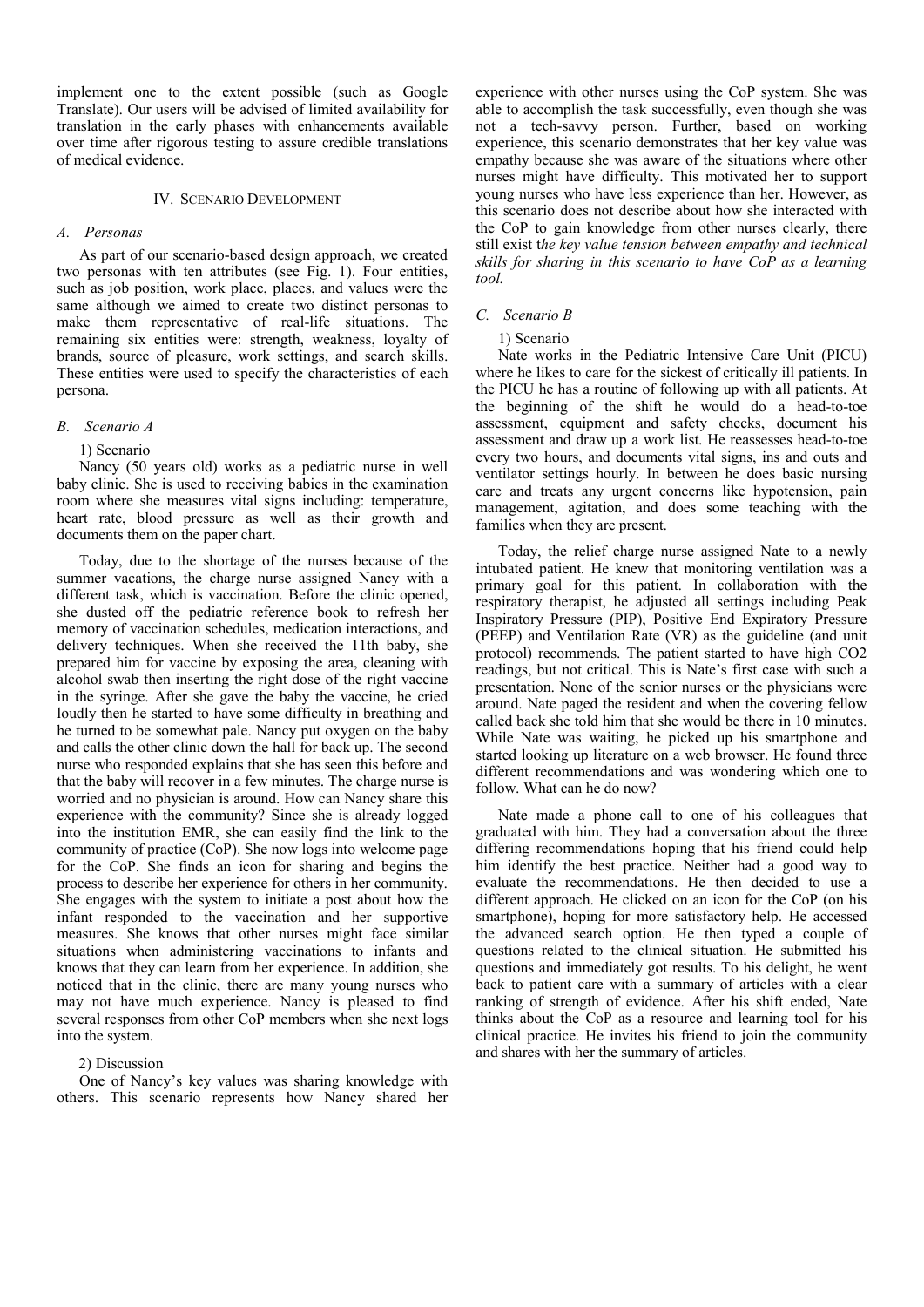implement one to the extent possible (such as Google Translate). Our users will be advised of limited availability for translation in the early phases with enhancements available over time after rigorous testing to assure credible translations of medical evidence.

## IV. SCENARIO DEVELOPMENT

# *A. Personas*

As part of our scenario-based design approach, we created two personas with ten attributes (see Fig. 1). Four entities, such as job position, work place, places, and values were the same although we aimed to create two distinct personas to make them representative of real-life situations. The remaining six entities were: strength, weakness, loyalty of brands, source of pleasure, work settings, and search skills. These entities were used to specify the characteristics of each persona.

#### *B. Scenario A*

#### 1) Scenario

Nancy (50 years old) works as a pediatric nurse in well baby clinic. She is used to receiving babies in the examination room where she measures vital signs including: temperature, heart rate, blood pressure as well as their growth and documents them on the paper chart.

Today, due to the shortage of the nurses because of the summer vacations, the charge nurse assigned Nancy with a different task, which is vaccination. Before the clinic opened, she dusted off the pediatric reference book to refresh her memory of vaccination schedules, medication interactions, and delivery techniques. When she received the 11th baby, she prepared him for vaccine by exposing the area, cleaning with alcohol swab then inserting the right dose of the right vaccine in the syringe. After she gave the baby the vaccine, he cried loudly then he started to have some difficulty in breathing and he turned to be somewhat pale. Nancy put oxygen on the baby and calls the other clinic down the hall for back up. The second nurse who responded explains that she has seen this before and that the baby will recover in a few minutes. The charge nurse is worried and no physician is around. How can Nancy share this experience with the community? Since she is already logged into the institution EMR, she can easily find the link to the community of practice (CoP). She now logs into welcome page for the CoP. She finds an icon for sharing and begins the process to describe her experience for others in her community. She engages with the system to initiate a post about how the infant responded to the vaccination and her supportive measures. She knows that other nurses might face similar situations when administering vaccinations to infants and knows that they can learn from her experience. In addition, she noticed that in the clinic, there are many young nurses who may not have much experience. Nancy is pleased to find several responses from other CoP members when she next logs into the system.

## 2) Discussion

One of Nancy's key values was sharing knowledge with others. This scenario represents how Nancy shared her experience with other nurses using the CoP system. She was able to accomplish the task successfully, even though she was not a tech-savvy person. Further, based on working experience, this scenario demonstrates that her key value was empathy because she was aware of the situations where other nurses might have difficulty. This motivated her to support young nurses who have less experience than her. However, as this scenario does not describe about how she interacted with the CoP to gain knowledge from other nurses clearly, there still exist t*he key value tension between empathy and technical skills for sharing in this scenario to have CoP as a learning tool.* 

## *C. Scenario B*

#### 1) Scenario

Nate works in the Pediatric Intensive Care Unit (PICU) where he likes to care for the sickest of critically ill patients. In the PICU he has a routine of following up with all patients. At the beginning of the shift he would do a head-to-toe assessment, equipment and safety checks, document his assessment and draw up a work list. He reassesses head-to-toe every two hours, and documents vital signs, ins and outs and ventilator settings hourly. In between he does basic nursing care and treats any urgent concerns like hypotension, pain management, agitation, and does some teaching with the families when they are present.

Today, the relief charge nurse assigned Nate to a newly intubated patient. He knew that monitoring ventilation was a primary goal for this patient. In collaboration with the respiratory therapist, he adjusted all settings including Peak Inspiratory Pressure (PIP), Positive End Expiratory Pressure (PEEP) and Ventilation Rate (VR) as the guideline (and unit protocol) recommends. The patient started to have high CO2 readings, but not critical. This is Nate's first case with such a presentation. None of the senior nurses or the physicians were around. Nate paged the resident and when the covering fellow called back she told him that she would be there in 10 minutes. While Nate was waiting, he picked up his smartphone and started looking up literature on a web browser. He found three different recommendations and was wondering which one to follow. What can he do now?

Nate made a phone call to one of his colleagues that graduated with him. They had a conversation about the three differing recommendations hoping that his friend could help him identify the best practice. Neither had a good way to evaluate the recommendations. He then decided to use a different approach. He clicked on an icon for the CoP (on his smartphone), hoping for more satisfactory help. He accessed the advanced search option. He then typed a couple of questions related to the clinical situation. He submitted his questions and immediately got results. To his delight, he went back to patient care with a summary of articles with a clear ranking of strength of evidence. After his shift ended, Nate thinks about the CoP as a resource and learning tool for his clinical practice. He invites his friend to join the community and shares with her the summary of articles.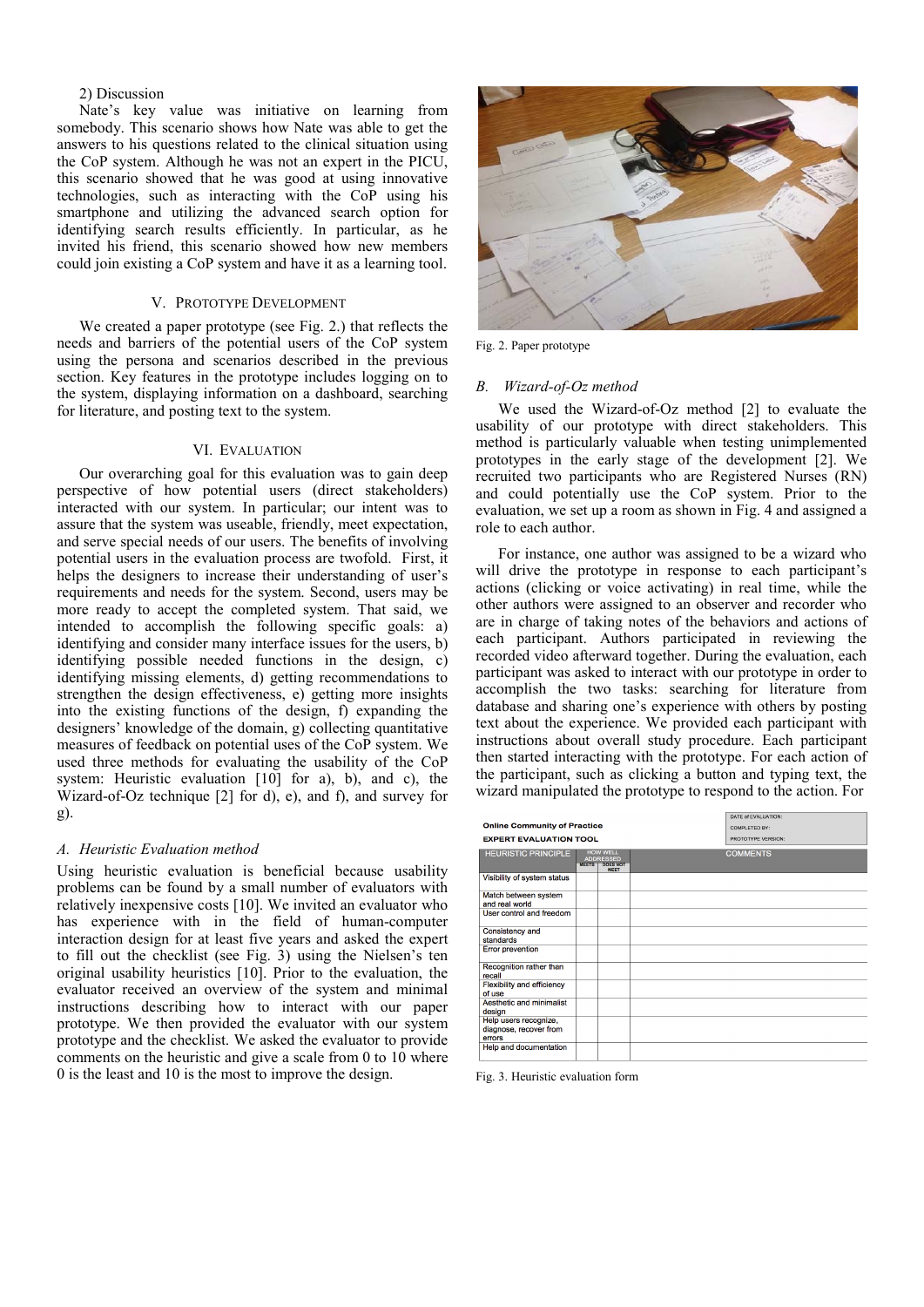## 2) Discussion

Nate's key value was initiative on learning from somebody. This scenario shows how Nate was able to get the answers to his questions related to the clinical situation using the CoP system. Although he was not an expert in the PICU, this scenario showed that he was good at using innovative technologies, such as interacting with the CoP using his smartphone and utilizing the advanced search option for identifying search results efficiently. In particular, as he invited his friend, this scenario showed how new members could join existing a CoP system and have it as a learning tool.

## V. PROTOTYPE DEVELOPMENT

We created a paper prototype (see Fig. 2.) that reflects the needs and barriers of the potential users of the CoP system using the persona and scenarios described in the previous section. Key features in the prototype includes logging on to the system, displaying information on a dashboard, searching for literature, and posting text to the system.

# VI. EVALUATION

Our overarching goal for this evaluation was to gain deep perspective of how potential users (direct stakeholders) interacted with our system. In particular; our intent was to assure that the system was useable, friendly, meet expectation, and serve special needs of our users. The benefits of involving potential users in the evaluation process are twofold. First, it helps the designers to increase their understanding of user's requirements and needs for the system. Second, users may be more ready to accept the completed system. That said, we intended to accomplish the following specific goals: a) identifying and consider many interface issues for the users, b) identifying possible needed functions in the design, c) identifying missing elements, d) getting recommendations to strengthen the design effectiveness, e) getting more insights into the existing functions of the design, f) expanding the designers' knowledge of the domain, g) collecting quantitative measures of feedback on potential uses of the CoP system. We used three methods for evaluating the usability of the CoP system: Heuristic evaluation [10] for a), b), and c), the Wizard-of-Oz technique [2] for d), e), and f), and survey for g).

## *A. Heuristic Evaluation method*

Using heuristic evaluation is beneficial because usability problems can be found by a small number of evaluators with relatively inexpensive costs [10]. We invited an evaluator who has experience with in the field of human-computer interaction design for at least five years and asked the expert to fill out the checklist (see Fig. 3) using the Nielsen's ten original usability heuristics [10]. Prior to the evaluation, the evaluator received an overview of the system and minimal instructions describing how to interact with our paper prototype. We then provided the evaluator with our system prototype and the checklist. We asked the evaluator to provide comments on the heuristic and give a scale from 0 to 10 where 0 is the least and 10 is the most to improve the design.



Fig. 2. Paper prototype

#### *B. Wizard-of-Oz method*

We used the Wizard-of-Oz method [2] to evaluate the usability of our prototype with direct stakeholders. This method is particularly valuable when testing unimplemented prototypes in the early stage of the development [2]. We recruited two participants who are Registered Nurses (RN) and could potentially use the CoP system. Prior to the evaluation, we set up a room as shown in Fig. 4 and assigned a role to each author.

For instance, one author was assigned to be a wizard who will drive the prototype in response to each participant's actions (clicking or voice activating) in real time, while the other authors were assigned to an observer and recorder who are in charge of taking notes of the behaviors and actions of each participant. Authors participated in reviewing the recorded video afterward together. During the evaluation, each participant was asked to interact with our prototype in order to accomplish the two tasks: searching for literature from database and sharing one's experience with others by posting text about the experience. We provided each participant with instructions about overall study procedure. Each participant then started interacting with the prototype. For each action of the participant, such as clicking a button and typing text, the wizard manipulated the prototype to respond to the action. For

| <b>Online Community of Practice</b><br><b>EXPERT EVALUATION TOOL</b> | DATE of EVALUATION:<br>COMPLETED BY:<br>PROTOTYPE VERSION:                            |                 |
|----------------------------------------------------------------------|---------------------------------------------------------------------------------------|-----------------|
| <b>HEURISTIC PRINCIPLE</b>                                           | <b>HOW WELL</b><br><b>ADDRESSED</b><br><b>DOES NOT</b><br><b>MEETS</b><br><b>MEET</b> | <b>COMMENTS</b> |
| Visibility of system status                                          |                                                                                       |                 |
| Match between system<br>and real world                               |                                                                                       |                 |
| User control and freedom                                             |                                                                                       |                 |
| Consistency and<br>standards                                         |                                                                                       |                 |
| <b>Error prevention</b>                                              |                                                                                       |                 |
| Recognition rather than<br>recall                                    |                                                                                       |                 |
| Flexibility and efficiency<br>of use                                 |                                                                                       |                 |
| Aesthetic and minimalist<br>design                                   |                                                                                       |                 |
| Help users recognize,<br>diagnose, recover from<br>errors            |                                                                                       |                 |
| Help and documentation                                               |                                                                                       |                 |

Fig. 3. Heuristic evaluation form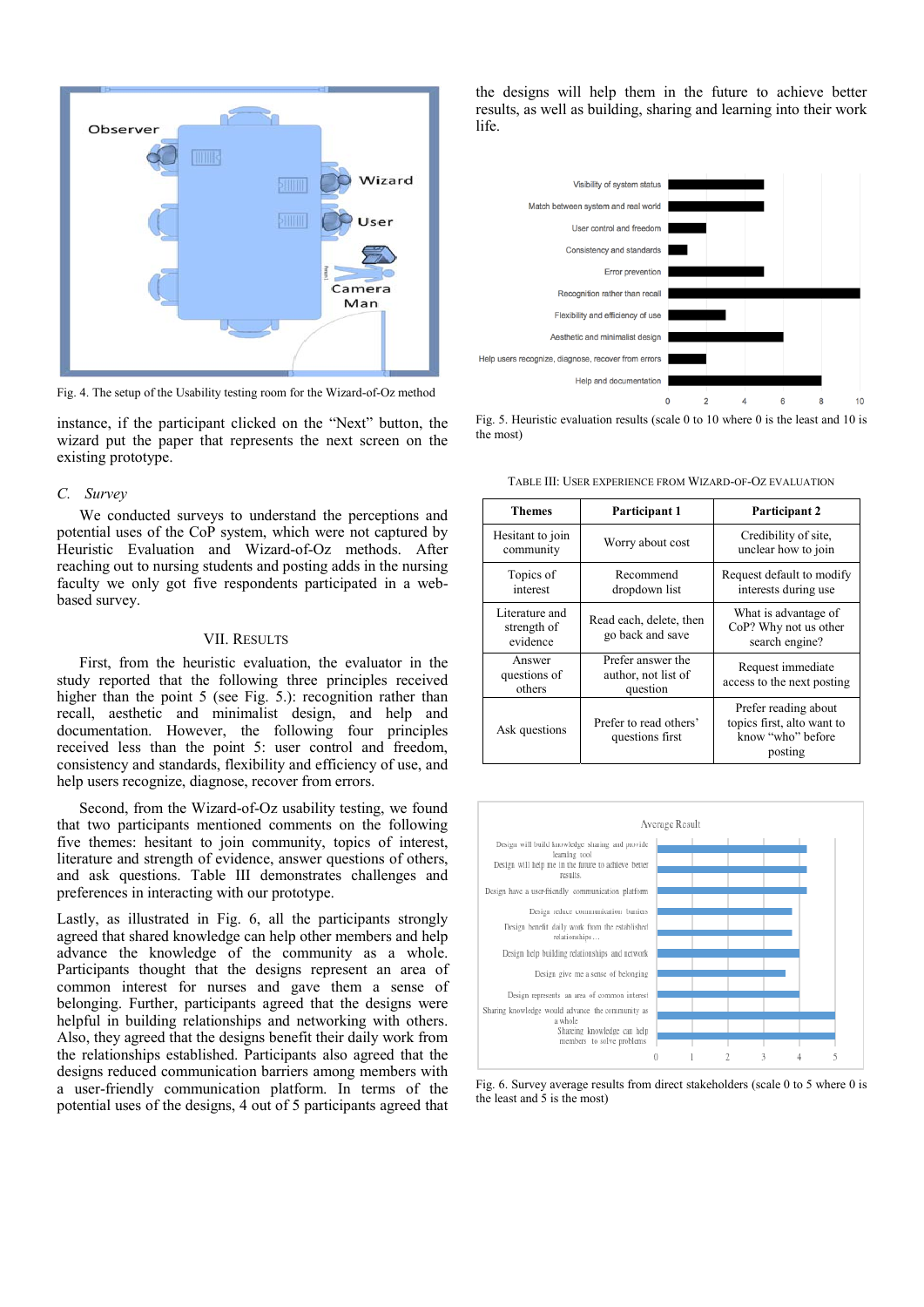

Fig. 4. The setup of the Usability testing room for the Wizard-of-Oz method

instance, if the participant clicked on the "Next" button, the wizard put the paper that represents the next screen on the existing prototype.

#### *C. Survey*

We conducted surveys to understand the perceptions and potential uses of the CoP system, which were not captured by Heuristic Evaluation and Wizard-of-Oz methods. After reaching out to nursing students and posting adds in the nursing faculty we only got five respondents participated in a webbased survey.

## VII. RESULTS

First, from the heuristic evaluation, the evaluator in the study reported that the following three principles received higher than the point 5 (see Fig. 5.): recognition rather than recall, aesthetic and minimalist design, and help and documentation. However, the following four principles received less than the point 5: user control and freedom, consistency and standards, flexibility and efficiency of use, and help users recognize, diagnose, recover from errors.

Second, from the Wizard-of-Oz usability testing, we found that two participants mentioned comments on the following five themes: hesitant to join community, topics of interest, literature and strength of evidence, answer questions of others, and ask questions. Table III demonstrates challenges and preferences in interacting with our prototype.

Lastly, as illustrated in Fig. 6, all the participants strongly agreed that shared knowledge can help other members and help advance the knowledge of the community as a whole. Participants thought that the designs represent an area of common interest for nurses and gave them a sense of belonging. Further, participants agreed that the designs were helpful in building relationships and networking with others. Also, they agreed that the designs benefit their daily work from the relationships established. Participants also agreed that the designs reduced communication barriers among members with a user-friendly communication platform. In terms of the potential uses of the designs, 4 out of 5 participants agreed that

the designs will help them in the future to achieve better results, as well as building, sharing and learning into their work life.



Fig. 5. Heuristic evaluation results (scale 0 to 10 where 0 is the least and 10 is the most)

TABLE III: USER EXPERIENCE FROM WIZARD-OF-OZ EVALUATION

| <b>Themes</b>                             | Participant 1                                        | <b>Participant 2</b>                                                               |
|-------------------------------------------|------------------------------------------------------|------------------------------------------------------------------------------------|
| Hesitant to join<br>community             | Worry about cost                                     | Credibility of site,<br>unclear how to join                                        |
| Topics of<br>interest                     | Recommend<br>dropdown list                           | Request default to modify<br>interests during use                                  |
| Literature and<br>strength of<br>evidence | Read each, delete, then<br>go back and save          | What is advantage of<br>CoP? Why not us other<br>search engine?                    |
| Answer<br>questions of<br>others          | Prefer answer the<br>author, not list of<br>question | Request immediate<br>access to the next posting                                    |
| Ask questions                             | Prefer to read others'<br>questions first            | Prefer reading about<br>topics first, alto want to<br>know "who" before<br>posting |



Fig. 6. Survey average results from direct stakeholders (scale 0 to 5 where 0 is the least and 5 is the most)